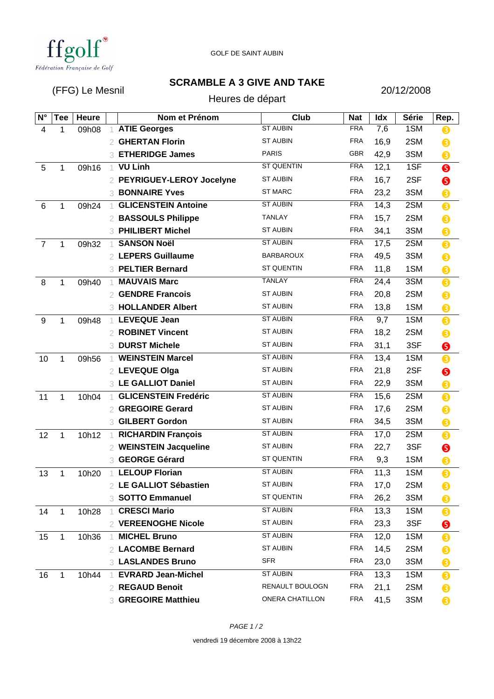

## **SCRAMBLE A 3 GIVE AND TAKE**

(FFG) Le Mesnil

Heures de départ

20/12/2008

| $N^{\circ}$    | <b>Tee</b>   | <b>Heure</b> |                | Nom et Prénom               | <b>Club</b>            | <b>Nat</b> | Idx  | <b>Série</b> | Rep. |
|----------------|--------------|--------------|----------------|-----------------------------|------------------------|------------|------|--------------|------|
| 4              | 1            | 09h08        |                | <b>ATIE Georges</b>         | <b>ST AUBIN</b>        | <b>FRA</b> | 7,6  | 1SM          | 8    |
|                |              |              | 2              | <b>GHERTAN Florin</b>       | <b>ST AUBIN</b>        | <b>FRA</b> | 16,9 | 2SM          | ❸    |
|                |              |              | 3              | <b>ETHERIDGE James</b>      | <b>PARIS</b>           | <b>GBR</b> | 42,9 | 3SM          | ❸    |
| 5              | 1            | 09h16        | -1             | <b>VU Linh</b>              | <b>ST QUENTIN</b>      | <b>FRA</b> | 12,1 | 1SF          | ❺    |
|                |              |              | 2              | PEYRIGUEY-LEROY Jocelyne    | <b>ST AUBIN</b>        | <b>FRA</b> | 16,7 | 2SF          | ❺    |
|                |              |              |                | <b>3 BONNAIRE Yves</b>      | <b>ST MARC</b>         | <b>FRA</b> | 23,2 | 3SM          | 8    |
| 6              | 1            | 09h24        |                | <b>GLICENSTEIN Antoine</b>  | <b>ST AUBIN</b>        | <b>FRA</b> | 14,3 | 2SM          | 8    |
|                |              |              |                | 2 BASSOULS Philippe         | <b>TANLAY</b>          | <b>FRA</b> | 15,7 | 2SM          | ❸    |
|                |              |              | 3              | <b>PHILIBERT Michel</b>     | <b>ST AUBIN</b>        | <b>FRA</b> | 34,1 | 3SM          | ❸    |
| $\overline{7}$ | 1            | 09h32        |                | <b>SANSON Noël</b>          | <b>ST AUBIN</b>        | <b>FRA</b> | 17,5 | 2SM          | 8    |
|                |              |              | 2              | <b>LEPERS Guillaume</b>     | <b>BARBAROUX</b>       | <b>FRA</b> | 49,5 | 3SM          | 8    |
|                |              |              | 3              | <b>PELTIER Bernard</b>      | ST QUENTIN             | <b>FRA</b> | 11,8 | 1SM          | ❸    |
| 8              | 1            | 09h40        |                | <b>MAUVAIS Marc</b>         | TANLAY                 | <b>FRA</b> | 24,4 | 3SM          | ❸    |
|                |              |              | 2              | <b>GENDRE Francois</b>      | <b>ST AUBIN</b>        | <b>FRA</b> | 20,8 | 2SM          | 8    |
|                |              |              |                | 3 HOLLANDER Albert          | <b>ST AUBIN</b>        | <b>FRA</b> | 13,8 | 1SM          | ❸    |
| 9              | 1            | 09h48        |                | <b>LEVEQUE Jean</b>         | <b>ST AUBIN</b>        | <b>FRA</b> | 9,7  | 1SM          | 8    |
|                |              |              |                | <b>ROBINET Vincent</b>      | <b>ST AUBIN</b>        | <b>FRA</b> | 18,2 | 2SM          | ❸    |
|                |              |              | 3              | <b>DURST Michele</b>        | <b>ST AUBIN</b>        | <b>FRA</b> | 31,1 | 3SF          | ❺    |
| 10             | 1            | 09h56        | $\overline{1}$ | <b>WEINSTEIN Marcel</b>     | <b>ST AUBIN</b>        | <b>FRA</b> | 13,4 | 1SM          | 8    |
|                |              |              | 2              | <b>LEVEQUE Olga</b>         | <b>ST AUBIN</b>        | <b>FRA</b> | 21,8 | 2SF          | ❺    |
|                |              |              | 3              | <b>LE GALLIOT Daniel</b>    | <b>ST AUBIN</b>        | <b>FRA</b> | 22,9 | 3SM          | 8    |
| 11             | 1            | 10h04        |                | <b>GLICENSTEIN Fredéric</b> | <b>ST AUBIN</b>        | <b>FRA</b> | 15,6 | 2SM          | 8    |
|                |              |              | 2              | <b>GREGOIRE Gerard</b>      | <b>ST AUBIN</b>        | <b>FRA</b> | 17,6 | 2SM          | ❸    |
|                |              |              | 3.             | <b>GILBERT Gordon</b>       | <b>ST AUBIN</b>        | <b>FRA</b> | 34,5 | 3SM          | ❸    |
| 12             | 1            | 10h12        |                | <b>RICHARDIN François</b>   | <b>ST AUBIN</b>        | <b>FRA</b> | 17,0 | 2SM          | 8    |
|                |              |              | 2              | <b>WEINSTEIN Jacqueline</b> | <b>ST AUBIN</b>        | <b>FRA</b> | 22,7 | 3SF          | ❺    |
|                |              |              | 3              | <b>GEORGE Gérard</b>        | <b>ST QUENTIN</b>      | <b>FRA</b> | 9,3  | 1SM          | ❸    |
| 13             | 1            | 10h20        |                | <b>LELOUP Florian</b>       | <b>ST AUBIN</b>        | <b>FRA</b> | 11,3 | 1SM          | 8    |
|                |              |              |                | 2 LE GALLIOT Sébastien      | <b>ST AUBIN</b>        | <b>FRA</b> | 17,0 | 2SM          | 6    |
|                |              |              |                | 3 SOTTO Emmanuel            | <b>ST QUENTIN</b>      | <b>FRA</b> | 26,2 | 3SM          | ❸    |
| 14             | 1            | 10h28        |                | <b>CRESCI Mario</b>         | <b>ST AUBIN</b>        | <b>FRA</b> | 13,3 | 1SM          | ❸    |
|                |              |              |                | 2 VEREENOGHE Nicole         | <b>ST AUBIN</b>        | <b>FRA</b> | 23,3 | 3SF          | ❺    |
| 15             | $\mathbf{1}$ | 10h36        |                | <b>MICHEL Bruno</b>         | <b>ST AUBIN</b>        | <b>FRA</b> | 12,0 | 1SM          | ❸    |
|                |              |              |                | 2 LACOMBE Bernard           | <b>ST AUBIN</b>        | <b>FRA</b> | 14,5 | 2SM          | ❸    |
|                |              |              |                | <b>3 LASLANDES Bruno</b>    | <b>SFR</b>             | <b>FRA</b> | 23,0 | 3SM          | ❸    |
| 16             | 1            | 10h44        |                | <b>EVRARD Jean-Michel</b>   | <b>ST AUBIN</b>        | <b>FRA</b> | 13,3 | 1SM          | ❸    |
|                |              |              | 2              | <b>REGAUD Benoit</b>        | RENAULT BOULOGN        | <b>FRA</b> | 21,1 | 2SM          | ❸    |
|                |              |              | 3.             | <b>GREGOIRE Matthieu</b>    | <b>ONERA CHATILLON</b> | <b>FRA</b> | 41,5 | 3SM          | ❸    |

vendredi 19 décembre 2008 à 13h22